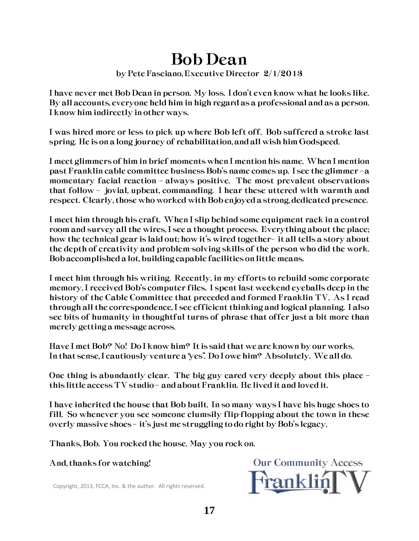## Bob Dean

## by Pete Fasciano, Executive Director 2/1/2013

I have never met Bob Dean in person. My loss. I don't even know what he looks like. By all accounts, everyone held him in high regard as a professional and as a person. I know him indirectly in other ways.

I was hired more or less to pick up where Bob left off. Bob suffered a stroke last spring. He is on a long journey of rehabilitation, and all wish him Godspeed.

I meet glimmers of him in brief moments when I mention his name. When I mention past Franklin cable committee business Bob's name comes up. I see the glimmer – a momentary facial reaction – always positive. The most prevalent observations that follow – jovial, upbeat, commanding. I hear these uttered with warmth and respect. Clearly, those who worked with Bob enjoyed a strong, dedicated presence.

I meet him through his craft. When I slip behind some equipment rack in a control room and survey all the wires, I see a thought process. Everything about the place; how the technical gear is laid out; how it's wired together– it all tells a story about the depth of creativity and problem-solving skills of the person who did the work. Bob accomplished a lot, building capable facilities on little means.

I meet him through his writing. Recently, in my efforts to rebuild some corporate memory, I received Bob's computer files. I spent last weekend eyeballs deep in the history of the Cable Committee that preceded and formed Franklin TV. As I read through all the correspondence, I see efficient thinking and logical planning. I also see bits of humanity in thoughtful turns of phrase that offer just a bit more than merely getting a message across.

Have I met Bob? No! Do I know him? It is said that we are known by our works. In that sense, I cautiously venture a "yes". Do I owe him? Absolutely. We all do.

One thing is abundantly clear. The big guy cared very deeply about this place – this little access TV studio – and about Franklin. He lived it and loved it.

I have inherited the house that Bob built. In so many ways I have his huge shoes to fill. So whenever you see someone clumsily flip-flopping about the town in these overly massive shoes – it's just me struggling to do right by Bob's legacy.

Thanks, Bob. You rocked the house. May you rock on.

And, thanks for watching!